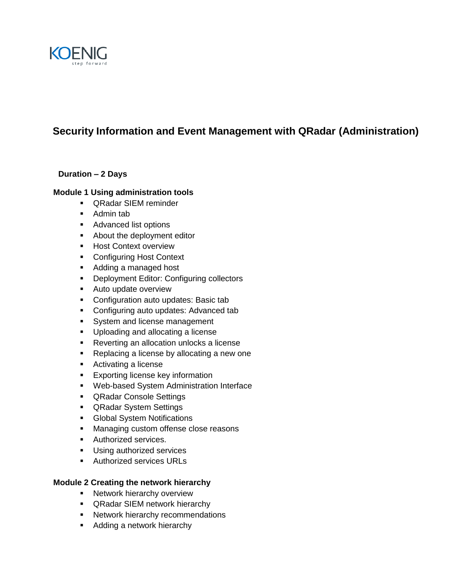

# **Security Information and Event Management with QRadar (Administration)**

# **Duration – 2 Days**

## **Module 1 Using administration tools**

- QRadar SIEM reminder
- Admin tab
- **Advanced list options**
- **About the deployment editor**
- **Host Context overview**
- **Configuring Host Context**
- Adding a managed host
- **•** Deployment Editor: Configuring collectors
- **Auto update overview**
- **Configuration auto updates: Basic tab**
- **Configuring auto updates: Advanced tab**
- System and license management
- **Uploading and allocating a license**
- **Reverting an allocation unlocks a license**
- Replacing a license by allocating a new one
- **Activating a license**
- **Exporting license key information**
- Web-based System Administration Interface
- **QRadar Console Settings**
- **QRadar System Settings**
- **Global System Notifications**
- **Managing custom offense close reasons**
- **Authorized services.**
- **Using authorized services**
- **Authorized services URLs**

## **Module 2 Creating the network hierarchy**

- **Network hierarchy overview**
- QRadar SIEM network hierarchy
- **Network hierarchy recommendations**
- **Adding a network hierarchy**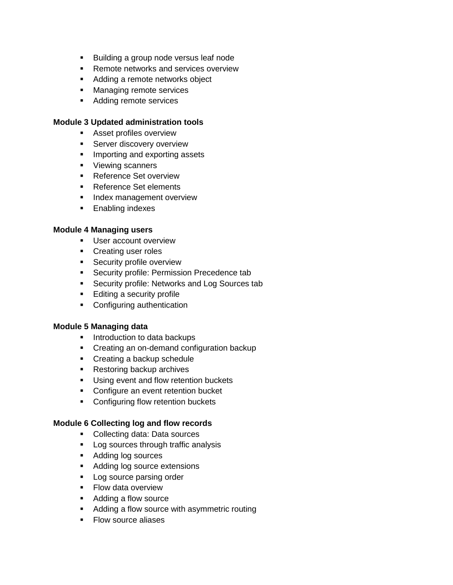- **Building a group node versus leaf node**
- Remote networks and services overview
- Adding a remote networks object
- **Managing remote services**
- **Adding remote services**

#### **Module 3 Updated administration tools**

- **Asset profiles overview**
- **Server discovery overview**
- **Importing and exporting assets**
- **Viewing scanners**
- **Reference Set overview**
- Reference Set elements
- **Index management overview**
- **Enabling indexes**

## **Module 4 Managing users**

- **User account overview**
- **Creating user roles**
- **Security profile overview**
- **Security profile: Permission Precedence tab**
- **Security profile: Networks and Log Sources tab**
- **Editing a security profile**
- **Configuring authentication**

#### **Module 5 Managing data**

- **Introduction to data backups**
- Creating an on-demand configuration backup
- Creating a backup schedule
- **Restoring backup archives**
- **Using event and flow retention buckets**
- **Configure an event retention bucket**
- **•** Configuring flow retention buckets

#### **Module 6 Collecting log and flow records**

- **Collecting data: Data sources**
- **Log sources through traffic analysis**
- **Adding log sources**
- **Adding log source extensions**
- Log source parsing order
- **Flow data overview**
- **Adding a flow source**
- Adding a flow source with asymmetric routing
- Flow source aliases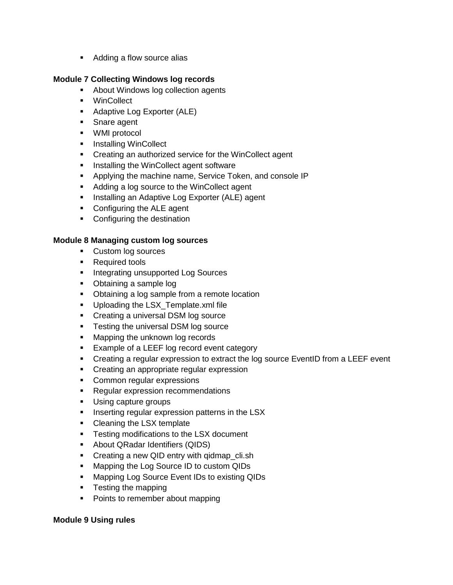**Adding a flow source alias** 

# **Module 7 Collecting Windows log records**

- About Windows log collection agents
- WinCollect
- **Adaptive Log Exporter (ALE)**
- Snare agent
- WMI protocol
- **Installing WinCollect**
- **Creating an authorized service for the WinCollect agent**
- **Installing the WinCollect agent software**
- **Applying the machine name, Service Token, and console IP**
- Adding a log source to the WinCollect agent
- **Installing an Adaptive Log Exporter (ALE) agent**
- Configuring the ALE agent
- **•** Configuring the destination

## **Module 8 Managing custom log sources**

- Custom log sources
- **Required tools**
- **Integrating unsupported Log Sources**
- Obtaining a sample log
- Obtaining a log sample from a remote location
- **Uploading the LSX\_Template.xml file**
- Creating a universal DSM log source
- **Testing the universal DSM log source**
- **Mapping the unknown log records**
- **Example of a LEEF log record event category**
- **•** Creating a regular expression to extract the log source EventID from a LEEF event
- **•** Creating an appropriate regular expression
- Common regular expressions
- **Regular expression recommendations**
- **Using capture groups**
- **Inserting regular expression patterns in the LSX**
- Cleaning the LSX template
- **Testing modifications to the LSX document**
- About QRadar Identifiers (QIDS)
- Creating a new QID entry with gidmap cli.sh
- **Mapping the Log Source ID to custom QIDs**
- **Mapping Log Source Event IDs to existing QIDs**
- Testing the mapping
- Points to remember about mapping

## **Module 9 Using rules**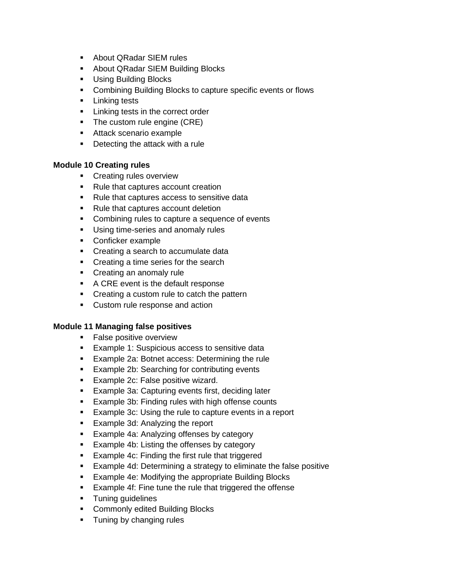- **-** About QRadar SIEM rules
- **About QRadar SIEM Building Blocks**
- **Using Building Blocks**
- **Combining Building Blocks to capture specific events or flows**
- **Linking tests**
- **EXEC** Linking tests in the correct order
- The custom rule engine (CRE)
- **Attack scenario example**
- **Detecting the attack with a rule**

## **Module 10 Creating rules**

- **Creating rules overview**
- Rule that captures account creation
- Rule that captures access to sensitive data
- Rule that captures account deletion
- Combining rules to capture a sequence of events
- **Using time-series and anomaly rules**
- Conficker example
- Creating a search to accumulate data
- Creating a time series for the search
- Creating an anomaly rule
- A CRE event is the default response
- Creating a custom rule to catch the pattern
- **Custom rule response and action**

## **Module 11 Managing false positives**

- **False positive overview**
- **Example 1: Suspicious access to sensitive data**
- **Example 2a: Botnet access: Determining the rule**
- **Example 2b: Searching for contributing events**
- **Example 2c: False positive wizard.**
- **Example 3a: Capturing events first, deciding later**
- **Example 3b: Finding rules with high offense counts**
- **Example 3c: Using the rule to capture events in a report**
- **Example 3d: Analyzing the report**
- **Example 4a: Analyzing offenses by category**
- **Example 4b: Listing the offenses by category**
- **Example 4c: Finding the first rule that triggered**
- Example 4d: Determining a strategy to eliminate the false positive
- **Example 4e: Modifying the appropriate Building Blocks**
- **Example 4f: Fine tune the rule that triggered the offense**
- **Tuning guidelines**
- **Commonly edited Building Blocks**
- **Tuning by changing rules**